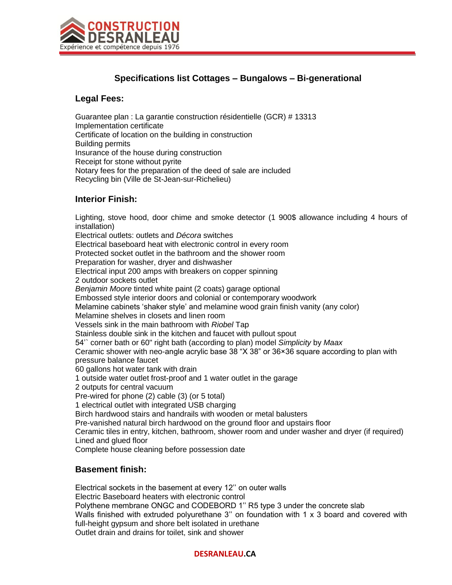

# **Specifications list Cottages – Bungalows – Bi-generational**

#### **Legal Fees:**

Guarantee plan : La garantie construction résidentielle (GCR) # 13313 Implementation certificate Certificate of location on the building in construction Building permits Insurance of the house during construction Receipt for stone without pyrite Notary fees for the preparation of the deed of sale are included Recycling bin (Ville de St-Jean-sur-Richelieu)

### **Interior Finish:**

Lighting, stove hood, door chime and smoke detector (1 900\$ allowance including 4 hours of installation) Electrical outlets: outlets and *Décora* switches Electrical baseboard heat with electronic control in every room Protected socket outlet in the bathroom and the shower room Preparation for washer, dryer and dishwasher Electrical input 200 amps with breakers on copper spinning 2 outdoor sockets outlet *Benjamin Moore* tinted white paint (2 coats) garage optional Embossed style interior doors and colonial or contemporary woodwork Melamine cabinets 'shaker style' and melamine wood grain finish vanity (any color) Melamine shelves in closets and linen room Vessels sink in the main bathroom with *Riobel* Tap Stainless double sink in the kitchen and faucet with pullout spout 54'` corner bath or 60" right bath (according to plan) model *Simplicity* by *Maax* Ceramic shower with neo-angle acrylic base 38 "X 38" or 36×36 square according to plan with pressure balance faucet 60 gallons hot water tank with drain 1 outside water outlet frost-proof and 1 water outlet in the garage 2 outputs for central vacuum Pre-wired for phone (2) cable (3) (or 5 total) 1 electrical outlet with integrated USB charging Birch hardwood stairs and handrails with wooden or metal balusters Pre-vanished natural birch hardwood on the ground floor and upstairs floor Ceramic tiles in entry, kitchen, bathroom, shower room and under washer and dryer (if required) Lined and glued floor Complete house cleaning before possession date

#### **Basement finish:**

Electrical sockets in the basement at every 12'' on outer walls Electric Baseboard heaters with electronic control Polythene membrane ONGC and CODEBORD 1'' R5 type 3 under the concrete slab Walls finished with extruded polyurethane 3" on foundation with 1 x 3 board and covered with full-height gypsum and shore belt isolated in urethane Outlet drain and drains for toilet, sink and shower